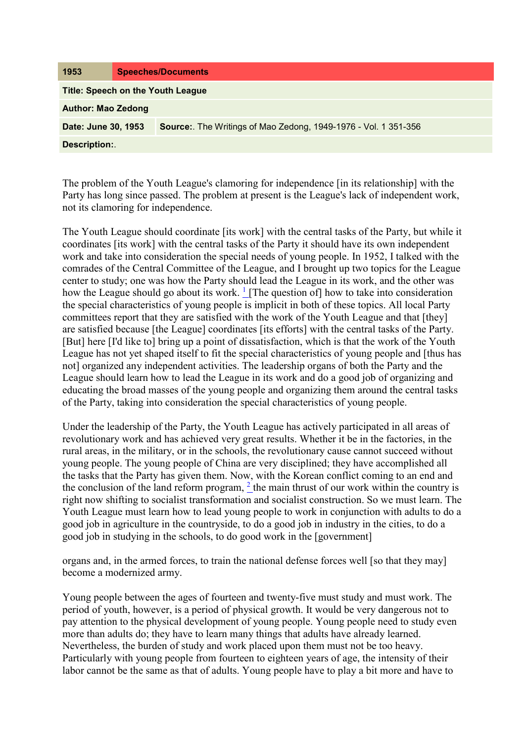The problem of the Youth League's clamoring for independence [in its relationship] with the Party has long since passed. The problem at present is the League's lack of independent work, not its clamoring for independence.

The Youth League should coordinate [its work] with the central tasks of the Party, but while it coordinates [its work] with the central tasks of the Party it should have its own independent work and take into consideration the special needs of young people. In 1952, I talked with the comrades of the Central Committee of the League, and I brought up two topics for the League center to study; one was how the Party should lead the League in its work, and the other was how the League should go about its work.  $\frac{1}{1}$  $\frac{1}{1}$  $\frac{1}{1}$  [The question of] how to take into consideration the special characteristics of young people is implicit in both of these topics. All local Party committees report that they are satisfied with the work of the Youth League and that [they] are satisfied because [the League] coordinates [its efforts] with the central tasks of the Party. [But] here [I'd like to] bring up a point of dissatisfaction, which is that the work of the Youth League has not yet shaped itself to fit the special characteristics of young people and [thus has not] organized any independent activities. The leadership organs of both the Party and the League should learn how to lead the League in its work and do a good job of organizing and educating the broad masses of the young people and organizing them around the central tasks of the Party, taking into consideration the special characteristics of young people.

Under the leadership of the Party, the Youth League has actively participated in all areas of revolutionary work and has achieved very great results. Whether it be in the factories, in the rural areas, in the military, or in the schools, the revolutionary cause cannot succeed without young people. The young people of China are very disciplined; they have accomplished all the tasks that the Party has given them. Now, with the Korean conflict coming to an end and the conclusion of the land reform program,  $<sup>2</sup>$  the main thrust of our work within the country is</sup> right now shifting to socialist transformation and socialist construction. So we must learn. The Youth League must learn how to lead young people to work in conjunction with adults to do a good job in agriculture in the countryside, to do a good job in industry in the cities, to do a good job in studying in the schools, to do good work in the [government]

organs and, in the armed forces, to train the national defense forces well [so that they may] become a modernized army.

Young people between the ages of fourteen and twenty-five must study and must work. The period of youth, however, is a period of physical growth. It would be very dangerous not to pay attention to the physical development of young people. Young people need to study even more than adults do; they have to learn many things that adults have already learned. Nevertheless, the burden of study and work placed upon them must not be too heavy. Particularly with young people from fourteen to eighteen years of age, the intensity of their labor cannot be the same as that of adults. Young people have to play a bit more and have to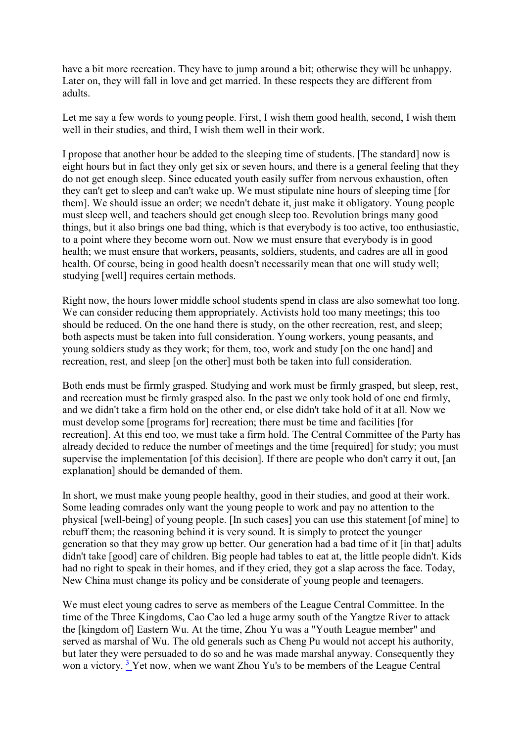have a bit more recreation. They have to jump around a bit; otherwise they will be unhappy. Later on, they will fall in love and get married. In these respects they are different from adults.

Let me say a few words to young people. First, I wish them good health, second, I wish them well in their studies, and third, I wish them well in their work.

I propose that another hour be added to the sleeping time of students. [The standard] now is eight hours but in fact they only get six or seven hours, and there is a general feeling that they do not get enough sleep. Since educated youth easily suffer from nervous exhaustion, often they can't get to sleep and can't wake up. We must stipulate nine hours of sleeping time [for them]. We should issue an order; we needn't debate it, just make it obligatory. Young people must sleep well, and teachers should get enough sleep too. Revolution brings many good things, but it also brings one bad thing, which is that everybody is too active, too enthusiastic, to a point where they become worn out. Now we must ensure that everybody is in good health; we must ensure that workers, peasants, soldiers, students, and cadres are all in good health. Of course, being in good health doesn't necessarily mean that one will study well; studying [well] requires certain methods.

Right now, the hours lower middle school students spend in class are also somewhat too long. We can consider reducing them appropriately. Activists hold too many meetings; this too should be reduced. On the one hand there is study, on the other recreation, rest, and sleep; both aspects must be taken into full consideration. Young workers, young peasants, and young soldiers study as they work; for them, too, work and study [on the one hand] and recreation, rest, and sleep [on the other] must both be taken into full consideration.

Both ends must be firmly grasped. Studying and work must be firmly grasped, but sleep, rest, and recreation must be firmly grasped also. In the past we only took hold of one end firmly, and we didn't take a firm hold on the other end, or else didn't take hold of it at all. Now we must develop some [programs for] recreation; there must be time and facilities [for recreation]. At this end too, we must take a firm hold. The Central Committee of the Party has already decided to reduce the number of meetings and the time [required] for study; you must supervise the implementation [of this decision]. If there are people who don't carry it out, [an explanation] should be demanded of them.

In short, we must make young people healthy, good in their studies, and good at their work. Some leading comrades only want the young people to work and pay no attention to the physical [well-being] of young people. [In such cases] you can use this statement [of mine] to rebuff them; the reasoning behind it is very sound. It is simply to protect the younger generation so that they may grow up better. Our generation had a bad time of it [in that] adults didn't take [good] care of children. Big people had tables to eat at, the little people didn't. Kids had no right to speak in their homes, and if they cried, they got a slap across the face. Today, New China must change its policy and be considerate of young people and teenagers.

We must elect young cadres to serve as members of the League Central Committee. In the time of the Three Kingdoms, Cao Cao led a huge army south of the Yangtze River to attack the [kingdom of] Eastern Wu. At the time, Zhou Yu was a "Youth League member" and served as marshal of Wu. The old generals such as Cheng Pu would not accept his authority, but later they were persuaded to do so and he was made marshal anyway. Consequently they won a victory.<sup>3</sup> Yet now, when we want Zhou Yu's to be members of the League Central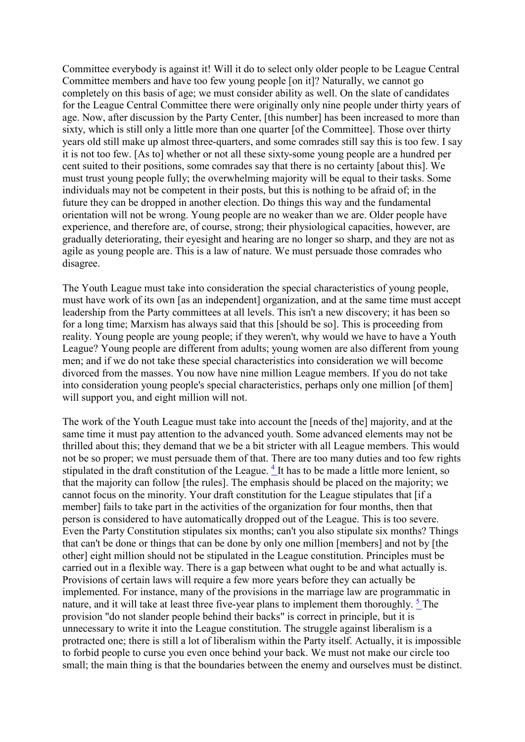Committee everybody is against it! Will it do to select only older people to be League Central Committee members and have too few young people [on it]? Naturally, we cannot go completely on this basis of age; we must consider ability as well. On the slate of candidates for the League Central Committee there were originally only nine people under thirty years of age. Now, after discussion by the Party Center, [this number] has been increased to more than sixty, which is still only a little more than one quarter [of the Committee]. Those over thirty years old still make up almost three-quarters, and some comrades still say this is too few. I say it is not too few. [As to] whether or not all these sixty-some young people are a hundred per cent suited to their positions, some comrades say that there is no certainty [about this]. We must trust young people fully; the overwhelming majority will be equal to their tasks. Some individuals may not be competent in their posts, but this is nothing to be afraid of; in the future they can be dropped in another election. Do things this way and the fundamental orientation will not be wrong. Young people are no weaker than we are. Older people have experience, and therefore are, of course, strong; their physiological capacities, however, are gradually deteriorating, their eyesight and hearing are no longer so sharp, and they are not as agile as young people are. This is a law of nature. We must persuade those comrades who disagree.

The Youth League must take into consideration the special characteristics of young people, must have work of its own [as an independent] organization, and at the same time must accept leadership from the Party committees at all levels. This isn't a new discovery; it has been so for a long time; Marxism has always said that this [should be so]. This is proceeding from reality. Young people are young people; if they weren't, why would we have to have a Youth League? Young people are different from adults; young women are also different from young men; and if we do not take these special characteristics into consideration we will become divorced from the masses. You now have nine million League members. If you do not take into consideration young people's special characteristics, perhaps only one million [of them] will support you, and eight million will not.

The work of the Youth League must take into account the [needs of the] majority, and at the same time it must pay attention to the advanced youth. Some advanced elements may not be thrilled about this; they demand that we be a bit stricter with all League members. This would not be so proper; we must persuade them of that. There are too many duties and too few rights stipulated in the draft constitution of the League.<sup>[4](http://www.questia.com/PM.qst?a=o&d=99262067)</sup> It has to be made a little more lenient, so that the majority can follow [the rules]. The emphasis should be placed on the majority; we cannot focus on the minority. Your draft constitution for the League stipulates that [if a member] fails to take part in the activities of the organization for four months, then that person is considered to have automatically dropped out of the League. This is too severe. Even the Party Constitution stipulates six months; can't you also stipulate six months? Things that can't be done or things that can be done by only one million [members] and not by [the other] eight million should not be stipulated in the League constitution. Principles must be carried out in a flexible way. There is a gap between what ought to be and what actually is. Provisions of certain laws will require a few more years before they can actually be implemented. For instance, many of the provisions in the marriage law are programmatic in nature, and it will take at least three five-year plans to implement them thoroughly. <sup>5</sup> The provision "do not slander people behind their backs" is correct in principle, but it is unnecessary to write it into the League constitution. The struggle against liberalism is a protracted one; there is still a lot of liberalism within the Party itself. Actually, it is impossible to forbid people to curse you even once behind your back. We must not make our circle too small; the main thing is that the boundaries between the enemy and ourselves must be distinct.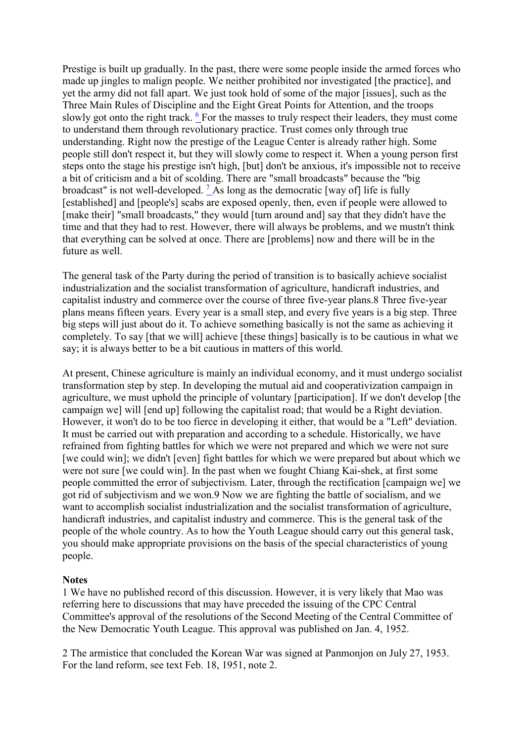Prestige is built up gradually. In the past, there were some people inside the armed forces who made up jingles to malign people. We neither prohibited nor investigated [the practice], and yet the army did not fall apart. We just took hold of some of the major [issues], such as the Three Main Rules of Discipline and the Eight Great Points for Attention, and the troops slowly got onto the right track. <sup>6</sup> For the masses to truly respect their leaders, they must come to understand them through revolutionary practice. Trust comes only through true understanding. Right now the prestige of the League Center is already rather high. Some people still don't respect it, but they will slowly come to respect it. When a young person first steps onto the stage his prestige isn't high, [but] don't be anxious, it's impossible not to receive a bit of criticism and a bit of scolding. There are "small broadcasts" because the "big broadcast" is not well-developed.  $\frac{7}{4}$  As long as the democratic [way of] life is fully [established] and [people's] scabs are exposed openly, then, even if people were allowed to [make their] "small broadcasts," they would [turn around and] say that they didn't have the time and that they had to rest. However, there will always be problems, and we mustn't think that everything can be solved at once. There are [problems] now and there will be in the future as well.

The general task of the Party during the period of transition is to basically achieve socialist industrialization and the socialist transformation of agriculture, handicraft industries, and capitalist industry and commerce over the course of three five-year plans.8 Three five-year plans means fifteen years. Every year is a small step, and every five years is a big step. Three big steps will just about do it. To achieve something basically is not the same as achieving it completely. To say [that we will] achieve [these things] basically is to be cautious in what we say; it is always better to be a bit cautious in matters of this world.

At present, Chinese agriculture is mainly an individual economy, and it must undergo socialist transformation step by step. In developing the mutual aid and cooperativization campaign in agriculture, we must uphold the principle of voluntary [participation]. If we don't develop [the campaign we] will [end up] following the capitalist road; that would be a Right deviation. However, it won't do to be too fierce in developing it either, that would be a "Left" deviation. It must be carried out with preparation and according to a schedule. Historically, we have refrained from fighting battles for which we were not prepared and which we were not sure [we could win]; we didn't [even] fight battles for which we were prepared but about which we were not sure [we could win]. In the past when we fought Chiang Kai-shek, at first some people committed the error of subjectivism. Later, through the rectification [campaign we] we got rid of subjectivism and we won.9 Now we are fighting the battle of socialism, and we want to accomplish socialist industrialization and the socialist transformation of agriculture, handicraft industries, and capitalist industry and commerce. This is the general task of the people of the whole country. As to how the Youth League should carry out this general task, you should make appropriate provisions on the basis of the special characteristics of young people.

## **Notes**

1 We have no published record of this discussion. However, it is very likely that Mao was referring here to discussions that may have preceded the issuing of the CPC Central Committee's approval of the resolutions of the Second Meeting of the Central Committee of the New Democratic Youth League. This approval was published on Jan. 4, 1952.

2 The armistice that concluded the Korean War was signed at Panmonjon on July 27, 1953. For the land reform, see text Feb. 18, 1951, note 2.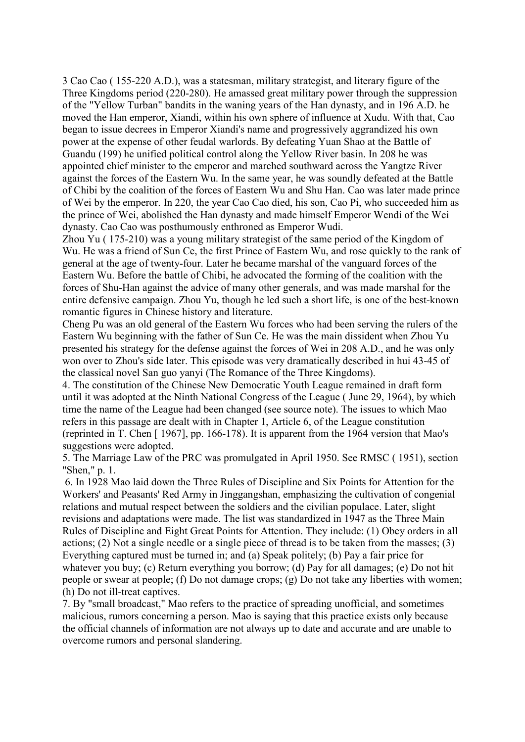3 Cao Cao ( 155-220 A.D.), was a statesman, military strategist, and literary figure of the Three Kingdoms period (220-280). He amassed great military power through the suppression of the "Yellow Turban" bandits in the waning years of the Han dynasty, and in 196 A.D. he moved the Han emperor, Xiandi, within his own sphere of influence at Xudu. With that, Cao began to issue decrees in Emperor Xiandi's name and progressively aggrandized his own power at the expense of other feudal warlords. By defeating Yuan Shao at the Battle of Guandu (199) he unified political control along the Yellow River basin. In 208 he was appointed chief minister to the emperor and marched southward across the Yangtze River against the forces of the Eastern Wu. In the same year, he was soundly defeated at the Battle of Chibi by the coalition of the forces of Eastern Wu and Shu Han. Cao was later made prince of Wei by the emperor. In 220, the year Cao Cao died, his son, Cao Pi, who succeeded him as the prince of Wei, abolished the Han dynasty and made himself Emperor Wendi of the Wei dynasty. Cao Cao was posthumously enthroned as Emperor Wudi.

Zhou Yu ( 175-210) was a young military strategist of the same period of the Kingdom of Wu. He was a friend of Sun Ce, the first Prince of Eastern Wu, and rose quickly to the rank of general at the age of twenty-four. Later he became marshal of the vanguard forces of the Eastern Wu. Before the battle of Chibi, he advocated the forming of the coalition with the forces of Shu-Han against the advice of many other generals, and was made marshal for the entire defensive campaign. Zhou Yu, though he led such a short life, is one of the best-known romantic figures in Chinese history and literature.

Cheng Pu was an old general of the Eastern Wu forces who had been serving the rulers of the Eastern Wu beginning with the father of Sun Ce. He was the main dissident when Zhou Yu presented his strategy for the defense against the forces of Wei in 208 A.D., and he was only won over to Zhou's side later. This episode was very dramatically described in hui 43-45 of the classical novel San guo yanyi (The Romance of the Three Kingdoms).

4. The constitution of the Chinese New Democratic Youth League remained in draft form until it was adopted at the Ninth National Congress of the League ( June 29, 1964), by which time the name of the League had been changed (see source note). The issues to which Mao refers in this passage are dealt with in Chapter 1, Article 6, of the League constitution (reprinted in T. Chen [ 1967], pp. 166-178). It is apparent from the 1964 version that Mao's suggestions were adopted.

5. The Marriage Law of the PRC was promulgated in April 1950. See RMSC ( 1951), section "Shen," p. 1.

6. In 1928 Mao laid down the Three Rules of Discipline and Six Points for Attention for the Workers' and Peasants' Red Army in Jinggangshan, emphasizing the cultivation of congenial relations and mutual respect between the soldiers and the civilian populace. Later, slight revisions and adaptations were made. The list was standardized in 1947 as the Three Main Rules of Discipline and Eight Great Points for Attention. They include: (1) Obey orders in all actions; (2) Not a single needle or a single piece of thread is to be taken from the masses; (3) Everything captured must be turned in; and (a) Speak politely; (b) Pay a fair price for whatever you buy; (c) Return everything you borrow; (d) Pay for all damages; (e) Do not hit people or swear at people; (f) Do not damage crops; (g) Do not take any liberties with women; (h) Do not ill-treat captives.

7. By "small broadcast," Mao refers to the practice of spreading unofficial, and sometimes malicious, rumors concerning a person. Mao is saying that this practice exists only because the official channels of information are not always up to date and accurate and are unable to overcome rumors and personal slandering.